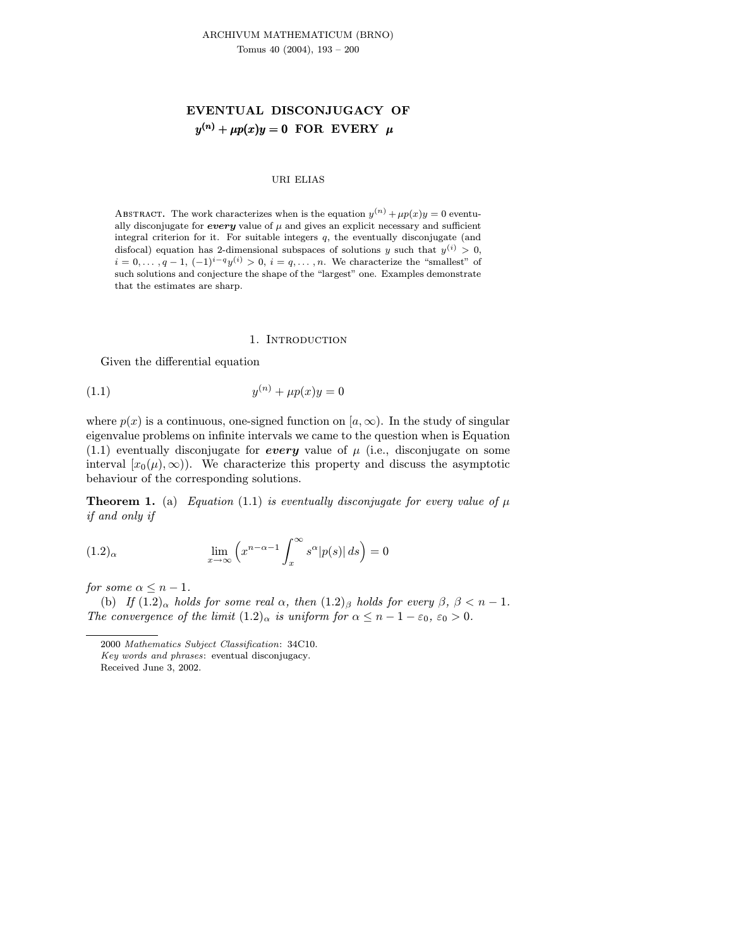# EVENTUAL DISCONJUGACY OF  $y^{(n)} + \mu p(x) y = 0$  FOR EVERY  $\mu$

#### URI ELIAS

ABSTRACT. The work characterizes when is the equation  $y^{(n)} + \mu p(x)y = 0$  eventually disconjugate for every value of  $\mu$  and gives an explicit necessary and sufficient integral criterion for it. For suitable integers q, the eventually disconjugate (and disfocal) equation has 2-dimensional subspaces of solutions y such that  $y^{(i)} > 0$ ,  $i = 0, \ldots, q-1, (-1)^{i-q}y^{(i)} > 0, i = q, \ldots, n$ . We characterize the "smallest" of such solutions and conjecture the shape of the "largest" one. Examples demonstrate that the estimates are sharp.

#### 1. Introduction

Given the differential equation

(1.1) 
$$
y^{(n)} + \mu p(x)y = 0
$$

where  $p(x)$  is a continuous, one-signed function on  $[a, \infty)$ . In the study of singular eigenvalue problems on infinite intervals we came to the question when is Equation  $(1.1)$  eventually disconjugate for *every* value of  $\mu$  (i.e., disconjugate on some interval  $[x_0(\mu), \infty)$ . We characterize this property and discuss the asymptotic behaviour of the corresponding solutions.

**Theorem 1.** (a) Equation (1.1) is eventually disconjugate for every value of  $\mu$ if and only if

(1.2)<sub>$$
\alpha
$$</sub> 
$$
\lim_{x \to \infty} \left( x^{n-\alpha-1} \int_x^{\infty} s^{\alpha} |p(s)| ds \right) = 0
$$

for some  $\alpha \leq n-1$ .

(b) If  $(1.2)_{\alpha}$  holds for some real  $\alpha$ , then  $(1.2)_{\beta}$  holds for every  $\beta$ ,  $\beta < n-1$ . The convergence of the limit  $(1.2)_{\alpha}$  is uniform for  $\alpha \leq n-1-\varepsilon_0$ ,  $\varepsilon_0 > 0$ .

Received June 3, 2002.

<sup>2000</sup> Mathematics Subject Classification: 34C10.

Key words and phrases: eventual disconjugacy.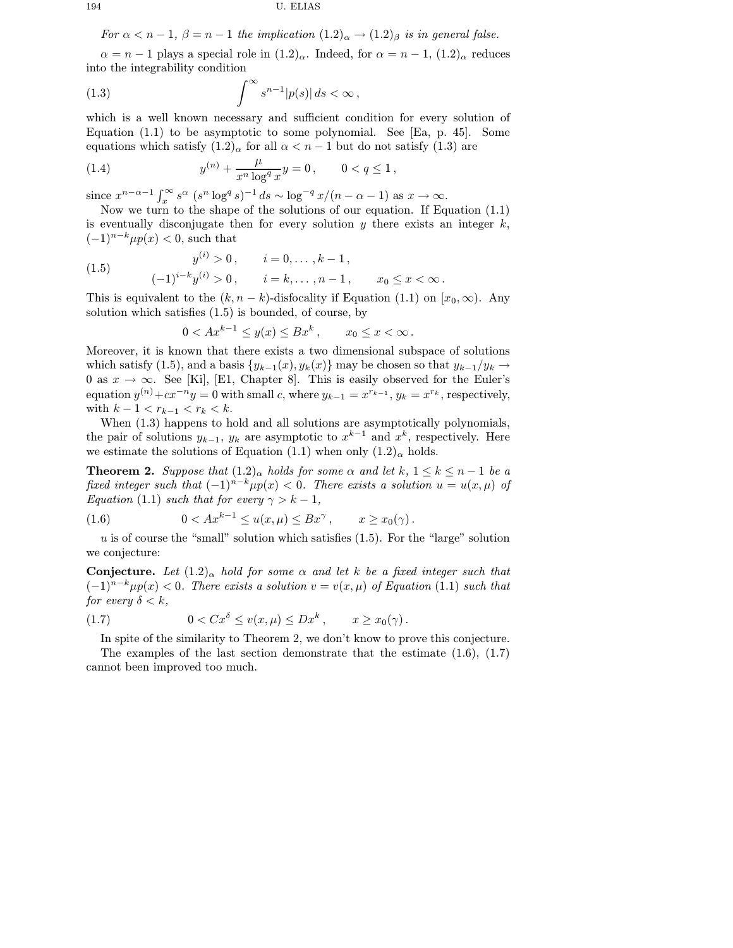For  $\alpha < n-1$ ,  $\beta = n-1$  the implication  $(1.2)_{\alpha} \rightarrow (1.2)_{\beta}$  is in general false.

 $\alpha = n - 1$  plays a special role in  $(1.2)_{\alpha}$ . Indeed, for  $\alpha = n - 1$ ,  $(1.2)_{\alpha}$  reduces into the integrability condition

(1.3) 
$$
\int^{\infty} s^{n-1} |p(s)| ds < \infty,
$$

which is a well known necessary and sufficient condition for every solution of Equation (1.1) to be asymptotic to some polynomial. See [Ea, p. 45]. Some equations which satisfy  $(1.2)_{\alpha}$  for all  $\alpha < n-1$  but do not satisfy  $(1.3)$  are

(1.4) 
$$
y^{(n)} + \frac{\mu}{x^n \log^q x} y = 0, \qquad 0 < q \le 1,
$$

since  $x^{n-\alpha-1} \int_x^{\infty} s^{\alpha} (s^n \log^q s)^{-1} ds \sim \log^{-q} x/(n-\alpha-1)$  as  $x \to \infty$ .

Now we turn to the shape of the solutions of our equation. If Equation (1.1) is eventually disconjugate then for every solution  $y$  there exists an integer  $k$ ,  $(-1)^{n-k}\mu p(x) < 0$ , such that

(1.5) 
$$
y^{(i)} > 0, \qquad i = 0, ..., k - 1,
$$

$$
(-1)^{i-k}y^{(i)} > 0, \qquad i = k, ..., n - 1, \qquad x_0 \le x < \infty.
$$

This is equivalent to the  $(k, n - k)$ -disfocality if Equation (1.1) on  $[x_0, \infty)$ . Any solution which satisfies (1.5) is bounded, of course, by

$$
0 < Ax^{k-1} \le y(x) \le Bx^k, \qquad x_0 \le x < \infty.
$$

Moreover, it is known that there exists a two dimensional subspace of solutions which satisfy (1.5), and a basis  $\{y_{k-1}(x), y_k(x)\}\$  may be chosen so that  $y_{k-1}/y_k \rightarrow$ 0 as  $x \to \infty$ . See [Ki], [E1, Chapter 8]. This is easily observed for the Euler's equation  $y^{(n)} + cx^{-n}y = 0$  with small c, where  $y_{k-1} = x^{r_{k-1}}$ ,  $y_k = x^{r_k}$ , respectively, with  $k - 1 < r_{k-1} < r_k < k$ .

When  $(1.3)$  happens to hold and all solutions are asymptotically polynomials, the pair of solutions  $y_{k-1}$ ,  $y_k$  are asymptotic to  $x^{k-1}$  and  $x^k$ , respectively. Here we estimate the solutions of Equation (1.1) when only  $(1.2)_{\alpha}$  holds.

**Theorem 2.** Suppose that  $(1.2)_{\alpha}$  holds for some  $\alpha$  and let k,  $1 \leq k \leq n-1$  be a fixed integer such that  $(-1)^{n-k} \mu p(x) < 0$ . There exists a solution  $u = u(x, \mu)$  of Equation (1.1) such that for every  $\gamma > k - 1$ ,

(1.6) 
$$
0 < Ax^{k-1} \le u(x,\mu) \le Bx^{\gamma}, \qquad x \ge x_0(\gamma).
$$

 $u$  is of course the "small" solution which satisfies  $(1.5)$ . For the "large" solution we conjecture:

**Conjecture.** Let  $(1.2)_{\alpha}$  hold for some  $\alpha$  and let k be a fixed integer such that  $(-1)^{n-k}\mu p(x) < 0$ . There exists a solution  $v = v(x, \mu)$  of Equation (1.1) such that for every  $\delta < k$ ,

$$
(1.7) \t 0 < Cx^{\delta} \le v(x,\mu) \le Dx^{k}, \t x \ge x_0(\gamma).
$$

In spite of the similarity to Theorem 2, we don't know to prove this conjecture. The examples of the last section demonstrate that the estimate  $(1.6)$ ,  $(1.7)$ 

cannot been improved too much.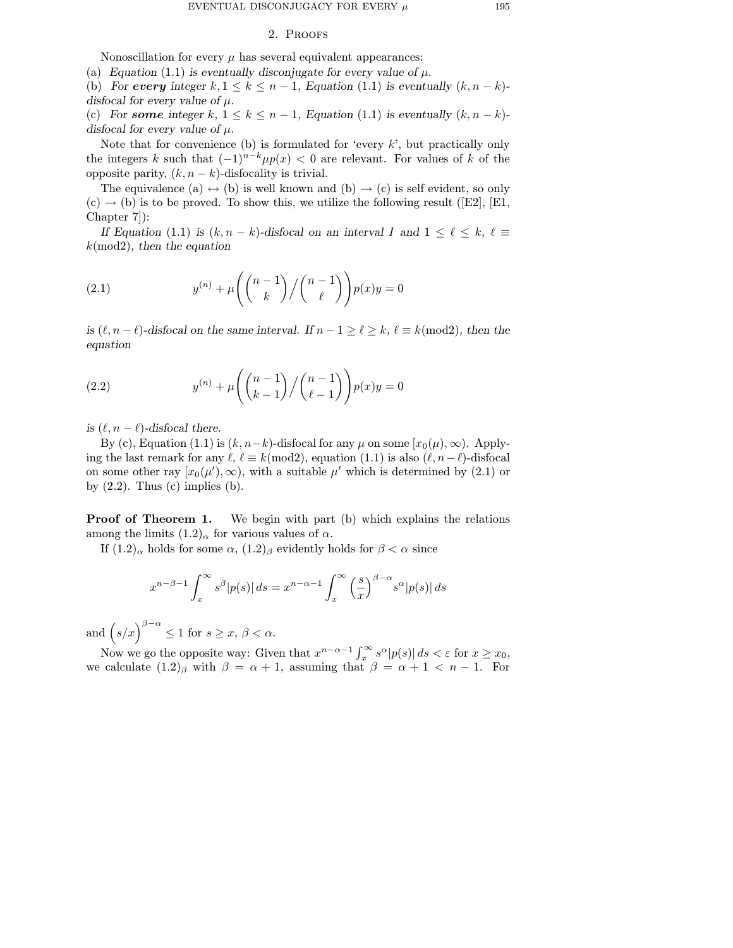## 2. Proofs

Nonoscillation for every  $\mu$  has several equivalent appearances:

(a) Equation (1.1) is eventually disconjugate for every value of  $\mu$ .

(b) For every integer  $k, 1 \leq k \leq n-1$ , Equation (1.1) is eventually  $(k, n-k)$ disfocal for every value of  $\mu$ .

(c) For some integer k,  $1 \leq k \leq n-1$ , Equation (1.1) is eventually  $(k, n-k)$ disfocal for every value of  $\mu$ .

Note that for convenience (b) is formulated for 'every  $k$ ', but practically only the integers k such that  $(-1)^{n-k} \mu p(x) < 0$  are relevant. For values of k of the opposite parity,  $(k, n - k)$ -disfocality is trivial.

The equivalence (a)  $\leftrightarrow$  (b) is well known and (b)  $\rightarrow$  (c) is self evident, so only  $(c) \rightarrow (b)$  is to be proved. To show this, we utilize the following result ([E2], [E1, Chapter 7]):

If Equation (1.1) is  $(k, n - k)$ -disfocal on an interval I and  $1 \leq \ell \leq k, \ell \equiv$  $k \text{(mod2)}$ , then the equation

(2.1) 
$$
y^{(n)} + \mu \left( \binom{n-1}{k} / \binom{n-1}{\ell} \right) p(x) y = 0
$$

is  $(\ell, n - \ell)$ -disfocal on the same interval. If  $n - 1 \ge \ell \ge k$ ,  $\ell \equiv k \pmod{2}$ , then the equation

(2.2) 
$$
y^{(n)} + \mu \left( \binom{n-1}{k-1} / \binom{n-1}{\ell-1} p(x) y = 0 \right)
$$

is  $(\ell, n - \ell)$ -disfocal there.

By (c), Equation (1.1) is  $(k, n-k)$ -disfocal for any  $\mu$  on some  $[x_0(\mu), \infty)$ . Applying the last remark for any  $\ell, \ell \equiv k \pmod{2}$ , equation (1.1) is also  $(\ell, n-\ell)$ -disfocal on some other ray  $[x_0(\mu'), \infty)$ , with a suitable  $\mu'$  which is determined by (2.1) or by  $(2.2)$ . Thus  $(c)$  implies  $(b)$ .

**Proof of Theorem 1.** We begin with part (b) which explains the relations among the limits  $(1.2)_{\alpha}$  for various values of  $\alpha$ .

If  $(1.2)_{\alpha}$  holds for some  $\alpha$ ,  $(1.2)_{\beta}$  evidently holds for  $\beta < \alpha$  since

$$
x^{n-\beta-1} \int_x^{\infty} s^{\beta} |p(s)| ds = x^{n-\alpha-1} \int_x^{\infty} \left(\frac{s}{x}\right)^{\beta-\alpha} s^{\alpha} |p(s)| ds
$$

and  $(s/x)^{\beta-\alpha} \leq 1$  for  $s \geq x, \beta < \alpha$ .

Now we go the opposite way: Given that  $x^{n-\alpha-1}\int_x^{\infty} s^{\alpha} |p(s)| ds < \varepsilon$  for  $x \geq x_0$ , we calculate  $(1.2)$ <sub>β</sub> with  $\beta = \alpha + 1$ , assuming that  $\beta = \alpha + 1 < n - 1$ . For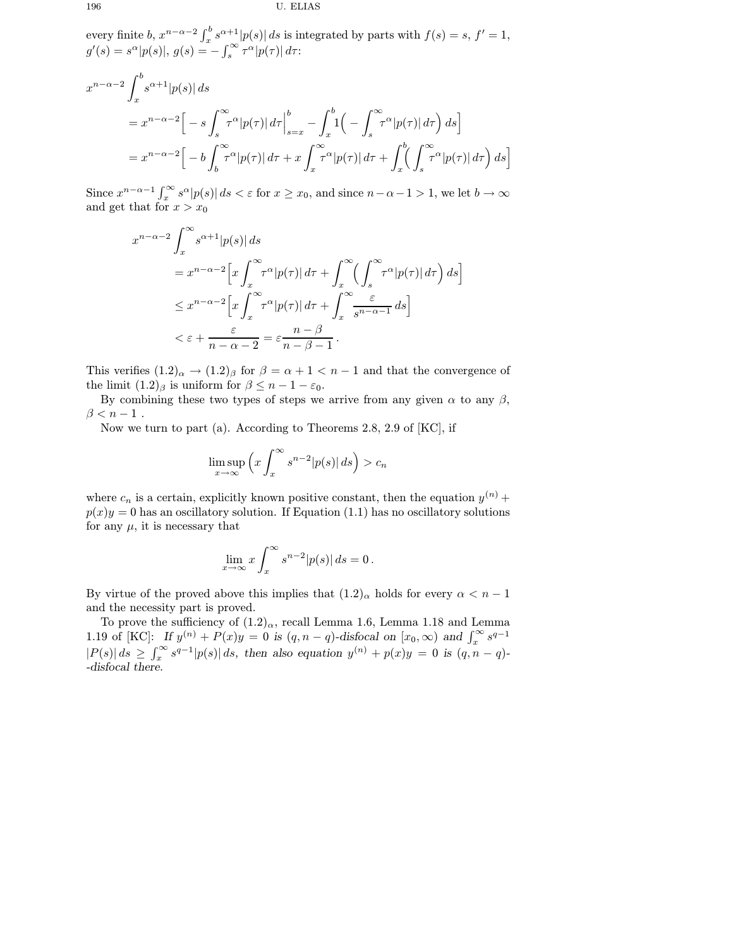### 196 U. ELIAS

every finite b,  $x^{n-\alpha-2} \int_x^b s^{\alpha+1} |p(s)| ds$  is integrated by parts with  $f(s) = s$ ,  $f' = 1$ ,  $g'(s) = s^{\alpha} |p(s)|, g(s) = - \int_s^{\infty} \tau^{\alpha} |p(\tau)| d\tau$ 

$$
x^{n-\alpha-2} \int_{x}^{b} s^{\alpha+1} |p(s)| ds
$$
  
=  $x^{n-\alpha-2} \Big[ -s \int_{s}^{\infty} \tau^{\alpha} |p(\tau)| d\tau \Big|_{s=x}^{b} - \int_{x}^{b} 1 \Big( -\int_{s}^{\infty} \tau^{\alpha} |p(\tau)| d\tau \Big) ds \Big]$   
=  $x^{n-\alpha-2} \Big[ -b \int_{b}^{\infty} \tau^{\alpha} |p(\tau)| d\tau + x \int_{x}^{\infty} \tau^{\alpha} |p(\tau)| d\tau + \int_{x}^{b} \Big( \int_{s}^{\infty} \tau^{\alpha} |p(\tau)| d\tau \Big) ds \Big]$ 

Since  $x^{n-\alpha-1}\int_x^\infty s^\alpha |p(s)| ds < \varepsilon$  for  $x \ge x_0$ , and since  $n-\alpha-1 > 1$ , we let  $b \to \infty$ and get that for  $x > x_0$ 

$$
x^{n-\alpha-2} \int_x^{\infty} s^{\alpha+1} |p(s)| ds
$$
  
=  $x^{n-\alpha-2} \Big[ x \int_x^{\infty} \tau^{\alpha} |p(\tau)| d\tau + \int_x^{\infty} \Big( \int_s^{\infty} \tau^{\alpha} |p(\tau)| d\tau \Big) ds \Big]$   
 $\leq x^{n-\alpha-2} \Big[ x \int_x^{\infty} \tau^{\alpha} |p(\tau)| d\tau + \int_x^{\infty} \frac{\varepsilon}{s^{n-\alpha-1}} ds \Big]$   
 $< \varepsilon + \frac{\varepsilon}{n-\alpha-2} = \varepsilon \frac{n-\beta}{n-\beta-1}.$ 

This verifies  $(1.2)_{\alpha} \rightarrow (1.2)_{\beta}$  for  $\beta = \alpha + 1 < n - 1$  and that the convergence of the limit  $(1.2)$ <sub>β</sub> is uniform for  $\beta \leq n-1-\varepsilon_0$ .

By combining these two types of steps we arrive from any given  $\alpha$  to any  $\beta$ ,  $\beta < n-1$ .

Now we turn to part (a). According to Theorems 2.8, 2.9 of [KC], if

$$
\limsup_{x \to \infty} \left( x \int_x^{\infty} s^{n-2} |p(s)| \, ds \right) > c_n
$$

where  $c_n$  is a certain, explicitly known positive constant, then the equation  $y^{(n)}$  +  $p(x)y = 0$  has an oscillatory solution. If Equation (1.1) has no oscillatory solutions for any  $\mu$ , it is necessary that

$$
\lim_{x \to \infty} x \int_x^{\infty} s^{n-2} |p(s)| ds = 0.
$$

By virtue of the proved above this implies that  $(1.2)_{\alpha}$  holds for every  $\alpha < n-1$ and the necessity part is proved.

To prove the sufficiency of  $(1.2)_{\alpha}$ , recall Lemma 1.6, Lemma 1.18 and Lemma 1.19 of [KC]: If  $y^{(n)} + P(x)y = 0$  is  $(q, n - q)$ -disfocal on  $[x_0, \infty)$  and  $\int_x^{\infty} s^{q-1}$  $|P(s)| ds \geq \int_x^{\infty} s^{q-1} |p(s)| ds$ , then also equation  $y^{(n)} + p(x)y = 0$  is  $(q, n - q)$ --disfocal there.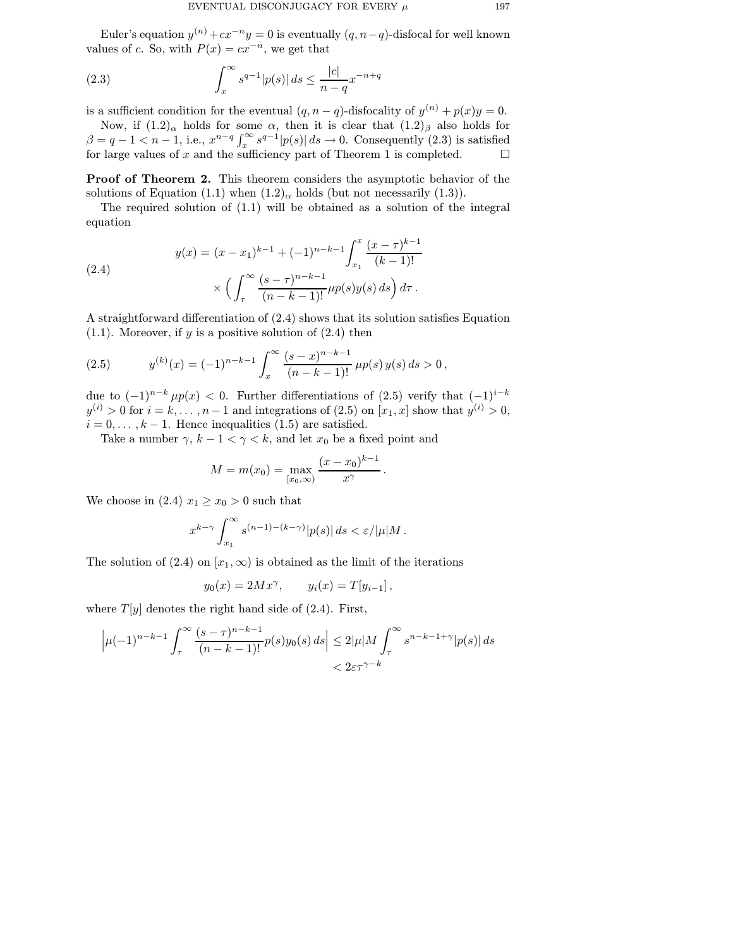Euler's equation  $y^{(n)} + cx^{-n}y = 0$  is eventually  $(q, n-q)$ -disfocal for well known values of c. So, with  $P(x) = cx^{-n}$ , we get that

(2.3) 
$$
\int_{x}^{\infty} s^{q-1} |p(s)| ds \leq \frac{|c|}{n-q} x^{-n+q}
$$

is a sufficient condition for the eventual  $(q, n - q)$ -disfocality of  $y^{(n)} + p(x)y = 0$ .

Now, if  $(1.2)_{\alpha}$  holds for some  $\alpha$ , then it is clear that  $(1.2)_{\beta}$  also holds for  $\beta = q - 1 < n - 1$ , i.e.,  $x^{n-q} \int_x^{\infty} s^{q-1} |p(s)| ds \rightarrow 0$ . Consequently (2.3) is satisfied for large values of x and the sufficiency part of Theorem 1 is completed.  $\square$ 

Proof of Theorem 2. This theorem considers the asymptotic behavior of the solutions of Equation (1.1) when  $(1.2)_{\alpha}$  holds (but not necessarily  $(1.3)$ ).

The required solution of (1.1) will be obtained as a solution of the integral equation

(2.4)  

$$
y(x) = (x - x_1)^{k-1} + (-1)^{n-k-1} \int_{x_1}^x \frac{(x - \tau)^{k-1}}{(k-1)!}
$$

$$
\times \left( \int_{\tau}^{\infty} \frac{(s - \tau)^{n-k-1}}{(n-k-1)!} \mu p(s) y(s) ds \right) d\tau.
$$

A straightforward differentiation of (2.4) shows that its solution satisfies Equation  $(1.1)$ . Moreover, if y is a positive solution of  $(2.4)$  then

(2.5) 
$$
y^{(k)}(x) = (-1)^{n-k-1} \int_x^{\infty} \frac{(s-x)^{n-k-1}}{(n-k-1)!} \mu p(s) y(s) ds > 0,
$$

due to  $(-1)^{n-k} \mu p(x) < 0$ . Further differentiations of  $(2.5)$  verify that  $(-1)^{i-k}$  $y^{(i)} > 0$  for  $i = k, \ldots, n-1$  and integrations of  $(2.5)$  on  $[x_1, x]$  show that  $y^{(i)} > 0$ ,  $i = 0, \ldots, k - 1$ . Hence inequalities (1.5) are satisfied.

Take a number  $\gamma$ ,  $k - 1 < \gamma < k$ , and let  $x_0$  be a fixed point and

$$
M = m(x_0) = \max_{[x_0,\infty)} \frac{(x - x_0)^{k-1}}{x^{\gamma}}
$$

.

We choose in (2.4)  $x_1 \geq x_0 > 0$  such that

$$
x^{k-\gamma} \int_{x_1}^\infty s^{(n-1)-(k-\gamma)} |p(s)| ds < \varepsilon/|\mu| M.
$$

The solution of (2.4) on  $[x_1,\infty)$  is obtained as the limit of the iterations

$$
y_0(x) = 2Mx^{\gamma}, \qquad y_i(x) = T[y_{i-1}],
$$

where  $T[y]$  denotes the right hand side of (2.4). First,

$$
\left|\mu(-1)^{n-k-1}\int_{\tau}^{\infty}\frac{(s-\tau)^{n-k-1}}{(n-k-1)!}p(s)y_0(s)\,ds\right|\leq 2|\mu|M\int_{\tau}^{\infty}s^{n-k-1+\gamma}|p(s)|\,ds\\&<2\varepsilon\tau^{\gamma-k}
$$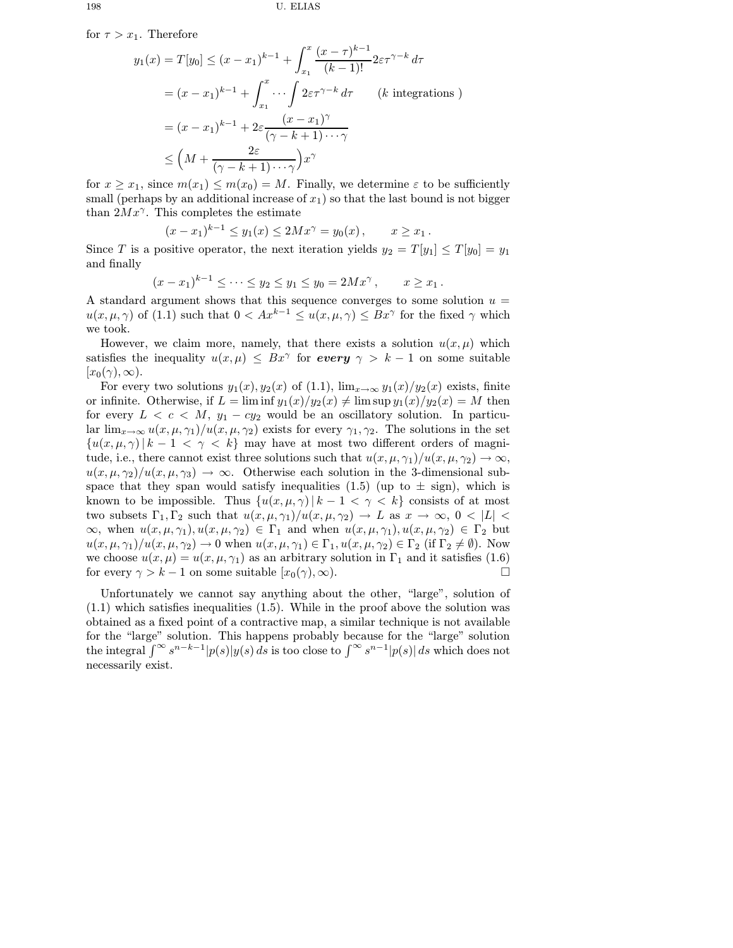for  $\tau > x_1$ . Therefore

$$
y_1(x) = T[y_0] \le (x - x_1)^{k-1} + \int_{x_1}^x \frac{(x - \tau)^{k-1}}{(k-1)!} 2\varepsilon \tau^{\gamma - k} d\tau
$$
  
=  $(x - x_1)^{k-1} + \int_{x_1}^x \cdots \int 2\varepsilon \tau^{\gamma - k} d\tau$  (*k* integrations)  
=  $(x - x_1)^{k-1} + 2\varepsilon \frac{(x - x_1)^{\gamma}}{(\gamma - k + 1) \cdots \gamma}$   
 $\le \left(M + \frac{2\varepsilon}{(\gamma - k + 1) \cdots \gamma}\right) x^{\gamma}$ 

for  $x \geq x_1$ , since  $m(x_1) \leq m(x_0) = M$ . Finally, we determine  $\varepsilon$  to be sufficiently small (perhaps by an additional increase of  $x_1$ ) so that the last bound is not bigger than  $2Mx^{\gamma}$ . This completes the estimate

$$
(x-x_1)^{k-1} \le y_1(x) \le 2Mx^{\gamma} = y_0(x), \qquad x \ge x_1.
$$

Since T is a positive operator, the next iteration yields  $y_2 = T[y_1] \leq T[y_0] = y_1$ and finally

$$
(x-x_1)^{k-1} \le \cdots \le y_2 \le y_1 \le y_0 = 2Mx^{\gamma}, \qquad x \ge x_1.
$$

A standard argument shows that this sequence converges to some solution  $u =$  $u(x, \mu, \gamma)$  of (1.1) such that  $0 < Ax^{k-1} \leq u(x, \mu, \gamma) \leq Bx^{\gamma}$  for the fixed  $\gamma$  which we took.

However, we claim more, namely, that there exists a solution  $u(x, \mu)$  which satisfies the inequality  $u(x,\mu) \leq Bx^{\gamma}$  for every  $\gamma > k-1$  on some suitable  $[x_0(\gamma), \infty).$ 

For every two solutions  $y_1(x), y_2(x)$  of (1.1),  $\lim_{x\to\infty} y_1(x)/y_2(x)$  exists, finite or infinite. Otherwise, if  $L = \liminf y_1(x)/y_2(x) \neq \limsup y_1(x)/y_2(x) = M$  then for every  $L < c < M$ ,  $y_1 - cy_2$  would be an oscillatory solution. In particular  $\lim_{x\to\infty} u(x,\mu,\gamma_1)/u(x,\mu,\gamma_2)$  exists for every  $\gamma_1,\gamma_2$ . The solutions in the set  ${u(x, \mu, \gamma) | k - 1 < \gamma < k}$  may have at most two different orders of magnitude, i.e., there cannot exist three solutions such that  $u(x, \mu, \gamma_1)/u(x, \mu, \gamma_2) \to \infty$ ,  $u(x, \mu, \gamma_2)/u(x, \mu, \gamma_3) \rightarrow \infty$ . Otherwise each solution in the 3-dimensional subspace that they span would satisfy inequalities (1.5) (up to  $\pm$  sign), which is known to be impossible. Thus  $\{u(x, \mu, \gamma) | k - 1 < \gamma < k\}$  consists of at most two subsets  $\Gamma_1, \Gamma_2$  such that  $u(x, \mu, \gamma_1)/u(x, \mu, \gamma_2) \to L$  as  $x \to \infty$ ,  $0 < |L| <$  $\infty$ , when  $u(x, \mu, \gamma_1), u(x, \mu, \gamma_2) \in \Gamma_1$  and when  $u(x, \mu, \gamma_1), u(x, \mu, \gamma_2) \in \Gamma_2$  but  $u(x, \mu, \gamma_1)/u(x, \mu, \gamma_2) \to 0$  when  $u(x, \mu, \gamma_1) \in \Gamma_1, u(x, \mu, \gamma_2) \in \Gamma_2$  (if  $\Gamma_2 \neq \emptyset$ ). Now we choose  $u(x, \mu) = u(x, \mu, \gamma_1)$  as an arbitrary solution in  $\Gamma_1$  and it satisfies (1.6) for every  $\gamma > k - 1$  on some suitable  $[x_0(\gamma), \infty)$ .

Unfortunately we cannot say anything about the other, "large", solution of (1.1) which satisfies inequalities (1.5). While in the proof above the solution was obtained as a fixed point of a contractive map, a similar technique is not available for the "large" solution. This happens probably because for the "large" solution the integral  $\int^{\infty} s^{n-k-1} |p(s)| y(s) ds$  is too close to  $\int^{\infty} s^{n-1} |p(s)| ds$  which does not necessarily exist.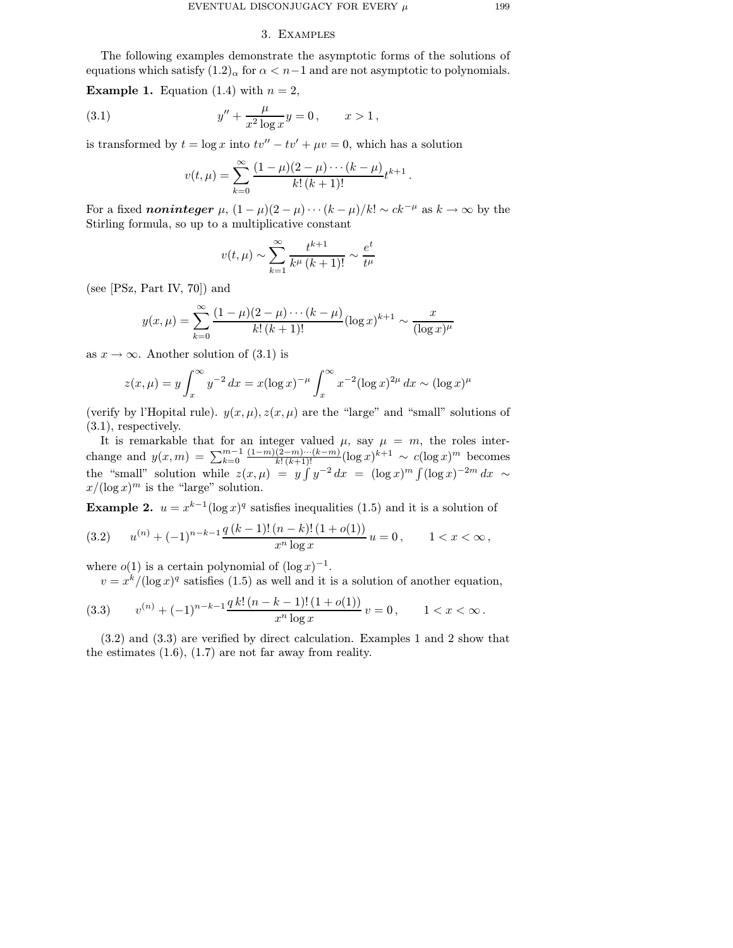## 3. Examples

The following examples demonstrate the asymptotic forms of the solutions of equations which satisfy  $(1.2)<sub>\alpha</sub>$  for  $\alpha < n-1$  and are not asymptotic to polynomials.

**Example 1.** Equation (1.4) with  $n = 2$ ,

(3.1) 
$$
y'' + \frac{\mu}{x^2 \log x} y = 0, \qquad x > 1,
$$

is transformed by  $t = \log x$  into  $tv'' - tv' + \mu v = 0$ , which has a solution

$$
v(t,\mu) = \sum_{k=0}^{\infty} \frac{(1-\mu)(2-\mu)\cdots(k-\mu)}{k!\,(k+1)!} t^{k+1}
$$

.

For a fixed *noninteger*  $\mu$ ,  $(1 - \mu)(2 - \mu) \cdots (k - \mu)/k! \sim ck^{-\mu}$  as  $k \to \infty$  by the Stirling formula, so up to a multiplicative constant

$$
v(t,\mu) \sim \sum_{k=1}^{\infty} \frac{t^{k+1}}{k^{\mu} (k+1)!} \sim \frac{e^t}{t^{\mu}}
$$

(see [PSz, Part IV, 70]) and

$$
y(x,\mu) = \sum_{k=0}^{\infty} \frac{(1-\mu)(2-\mu)\cdots(k-\mu)}{k!\,(k+1)!} (\log x)^{k+1} \sim \frac{x}{(\log x)^{\mu}}
$$

as  $x \to \infty$ . Another solution of (3.1) is

$$
z(x,\mu) = y \int_x^{\infty} y^{-2} dx = x(\log x)^{-\mu} \int_x^{\infty} x^{-2}(\log x)^{2\mu} dx \sim (\log x)^{\mu}
$$

(verify by l'Hopital rule).  $y(x, \mu), z(x, \mu)$  are the "large" and "small" solutions of (3.1), respectively.

It is remarkable that for an integer valued  $\mu$ , say  $\mu = m$ , the roles interchange and  $y(x,m) = \sum_{k=0}^{m-1} \frac{(1-m)(2-m)\cdots(k-m)}{k!\ (k+1)!} (\log x)^{k+1} \sim c(\log x)^m$  becomes the "small" solution while  $z(x,\mu) = y \int y^{-2} dx = (\log x)^m \int (\log x)^{-2m} dx \sim$  $x/(\log x)^m$  is the "large" solution.

**Example 2.**  $u = x^{k-1}(\log x)^q$  satisfies inequalities (1.5) and it is a solution of

$$
(3.2) \t u^{(n)} + (-1)^{n-k-1} \frac{q(k-1)! (n-k)! (1+o(1))}{x^n \log x} u = 0, \t 1 < x < \infty,
$$

where  $o(1)$  is a certain polynomial of  $(\log x)^{-1}$ .

 $v = x^{k} / (\log x)^{q}$  satisfies (1.5) as well and it is a solution of another equation,

$$
(3.3) \t v^{(n)} + (-1)^{n-k-1} \frac{q k! \left(n-k-1\right)! \left(1+o(1)\right)}{x^n \log x} v = 0, \t 1 < x < \infty.
$$

(3.2) and (3.3) are verified by direct calculation. Examples 1 and 2 show that the estimates  $(1.6)$ ,  $(1.7)$  are not far away from reality.